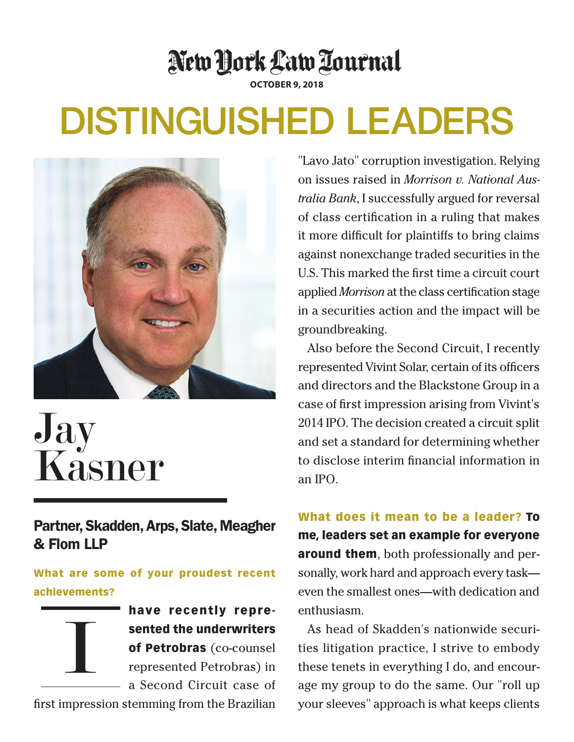## New York Law Tournal

**October 9, 2018**

## Distinguished Leaders



## Jay Kasner

Partner, Skadden, Arps, Slate, Meagher & Flom LLP

What are some of your proudest recent achievements?



have recently represented the underwriters of Petrobras (co-counsel represented Petrobras) in a Second Circuit case of

first impression stemming from the Brazilian

"Lavo Jato" corruption investigation. Relying on issues raised in *Morrison v. National Australia Bank*, I successfully argued for reversal of class certification in a ruling that makes it more difficult for plaintiffs to bring claims against nonexchange traded securities in the U.S. This marked the first time a circuit court applied *Morrison* at the class certification stage in a securities action and the impact will be groundbreaking.

Also before the Second Circuit, I recently represented Vivint Solar, certain of its officers and directors and the Blackstone Group in a case of first impression arising from Vivint's 2014 IPO. The decision created a circuit split and set a standard for determining whether to disclose interim financial information in an IPO.

What does it mean to be a leader? To me, leaders set an example for everyone **around them**, both professionally and personally, work hard and approach every task even the smallest ones—with dedication and enthusiasm.

As head of Skadden's nationwide securities litigation practice, I strive to embody these tenets in everything I do, and encourage my group to do the same. Our "roll up your sleeves" approach is what keeps clients